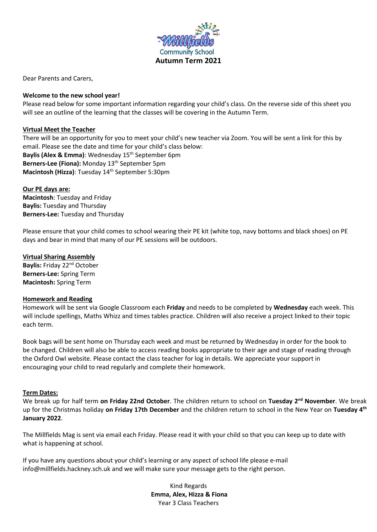

Dear Parents and Carers,

### **Welcome to the new school year!**

Please read below for some important information regarding your child's class. On the reverse side of this sheet you will see an outline of the learning that the classes will be covering in the Autumn Term.

# **Virtual Meet the Teacher**

There will be an opportunity for you to meet your child's new teacher via Zoom. You will be sent a link for this by email. Please see the date and time for your child's class below: Baylis (Alex & Emma): Wednesday 15<sup>th</sup> September 6pm Berners-Lee (Fiona): Monday 13<sup>th</sup> September 5pm Macintosh (Hizza): Tuesday 14<sup>th</sup> September 5:30pm

# **Our PE days are:**

**Macintosh**: Tuesday and Friday **Baylis:** Tuesday and Thursday **Berners-Lee:** Tuesday and Thursday

Please ensure that your child comes to school wearing their PE kit (white top, navy bottoms and black shoes) on PE days and bear in mind that many of our PE sessions will be outdoors.

# **Virtual Sharing Assembly**

**Baylis:** Friday 22nd October **Berners-Lee:** Spring Term **Macintosh:** Spring Term

#### **Homework and Reading**

Homework will be sent via Google Classroom each **Friday** and needs to be completed by **Wednesday** each week. This will include spellings, Maths Whizz and times tables practice. Children will also receive a project linked to their topic each term.

Book bags will be sent home on Thursday each week and must be returned by Wednesday in order for the book to be changed. Children will also be able to access reading books appropriate to their age and stage of reading through the Oxford Owl website. Please contact the class teacher for log in details. We appreciate your support in encouraging your child to read regularly and complete their homework.

# **Term Dates:**

We break up for half term **on Friday 22nd October**. The children return to school on **Tuesday 2nd November**. We break up for the Christmas holiday **on Friday 17th December** and the children return to school in the New Year on **Tuesday 4th January 2022**.

The Millfields Mag is sent via email each Friday. Please read it with your child so that you can keep up to date with what is happening at school.

If you have any questions about your child's learning or any aspect of school life please e-mail info@millfields.hackney.sch.uk and we will make sure your message gets to the right person.

> Kind Regards **Emma, Alex, Hizza & Fiona** Year 3 Class Teachers